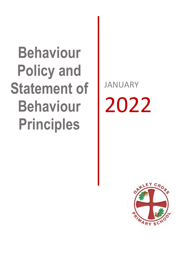# **Behaviour Policy and Statement of Behaviour Principles**

JANUARY 2022

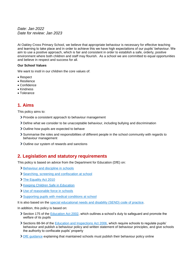*Date: Jan 2022 Date for review: Jan 2023*

At Oakley Cross Primary School, we believe that appropriate behaviour is necessary for effective teaching and learning to take place and in order to achieve this we have high expectations of our pupils' behaviour. We aim to use a positive approach, which is fair and consistent in order to establish a safe, orderly, positive environment where both children and staff may flourish. As a school we are committed to equal opportunities and believe in respect and success for all.

#### **Our School Values**

We want to instil in our children the core values of:

- Respect
- Resilience
- Confidence
- Kindness
- Tolerance

# **1. Aims**

This policy aims to:

- > Provide a consistent approach to behaviour management
- Define what we consider to be unacceptable behaviour, including bullying and discrimination
- Outline how pupils are expected to behave
- Summarise the roles and responsibilities of different people in the school community with regards to behaviour management
- > Outline our system of rewards and sanctions

### **2. Legislation and statutory requirements**

This policy is based on advice from the Department for Education (DfE) on:

- > [Behaviour and discipline in schools](https://www.gov.uk/government/publications/behaviour-and-discipline-in-schools)
- [Searching, screening and confiscation at school](https://www.gov.uk/government/publications/searching-screening-and-confiscation)
- > [The Equality Act 2010](https://www.gov.uk/government/publications/equality-act-2010-advice-for-schools)
- > [Keeping Children Safe in Education](https://www.gov.uk/government/publications/keeping-children-safe-in-education--2)
- [Use of reasonable force in schools](https://www.gov.uk/government/publications/use-of-reasonable-force-in-schools)
- > [Supporting pupils with medical conditions at school](https://www.gov.uk/government/publications/supporting-pupils-at-school-with-medical-conditions--3)

It is also based on the [special educational needs and disability \(SEND\) code of practice.](https://www.gov.uk/government/publications/send-code-of-practice-0-to-25)

In addition, this policy is based on:

- Section 175 of the [Education Act 2002,](http://www.legislation.gov.uk/ukpga/2002/32/section/175) which outlines a school's duty to safeguard and promote the welfare of its pupils
- Sections 88-94 of the [Education and Inspections Act 2006,](http://www.legislation.gov.uk/ukpga/2006/40/section/88) which require schools to regulate pupils' behaviour and publish a behaviour policy and written statement of behaviour principles, and give schools the authority to confiscate pupils' property
- [DfE guidance](https://www.gov.uk/guidance/what-maintained-schools-must-publish-online#behaviour-policy) explaining that maintained schools must publish their behaviour policy online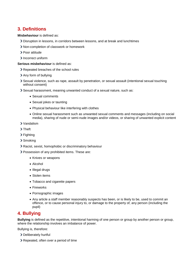# **3. Definitions**

**Misbehaviour** is defined as:

- Disruption in lessons, in corridors between lessons, and at break and lunchtimes
- Non-completion of classwork or homework
- > Poor attitude
- > Incorrect uniform

**Serious misbehaviour** is defined as:

- Repeated breaches of the school rules
- > Any form of bullying
- Sexual violence, such as rape, assault by penetration, or sexual assault (intentional sexual touching without consent)
- Sexual harassment, meaning unwanted conduct of a sexual nature, such as:
	- Sexual comments
	- Sexual jokes or taunting
	- Physical behaviour like interfering with clothes
	- Online sexual harassment such as unwanted sexual comments and messages (including on social media), sharing of nude or semi-nude images and/or videos, or sharing of unwanted explicit content
- Vandalism
- > Theft
- > Fighting
- > Smoking
- Racist, sexist, homophobic or discriminatory behaviour
- Possession of any prohibited items. These are:
	- Knives or weapons
	- Alcohol
	- Illegal drugs
	- Stolen items
	- Tobacco and cigarette papers
	- Fireworks
	- Pornographic images
	- Any article a staff member reasonably suspects has been, or is likely to be, used to commit an offence, or to cause personal injury to, or damage to the property of, any person (including the pupil)

# **4. Bullying**

**Bullying** is defined as the repetitive, intentional harming of one person or group by another person or group, where the relationship involves an imbalance of power.

Bullying is, therefore:

- Deliberately hurtful
- Repeated, often over a period of time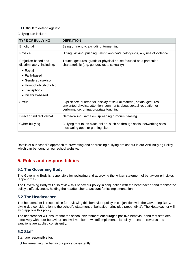#### Difficult to defend against

Bullying can include:

| <b>TYPE OF BULLYING</b>                                                                                                                                                               | <b>DEFINITION</b>                                                                                                                                                                   |
|---------------------------------------------------------------------------------------------------------------------------------------------------------------------------------------|-------------------------------------------------------------------------------------------------------------------------------------------------------------------------------------|
| Emotional                                                                                                                                                                             | Being unfriendly, excluding, tormenting                                                                                                                                             |
| Physical                                                                                                                                                                              | Hitting, kicking, pushing, taking another's belongings, any use of violence                                                                                                         |
| Prejudice-based and<br>discriminatory, including:<br>$\bullet$ Racial<br>$\bullet$ Faith-based<br>• Gendered (sexist)<br>• Homophobic/biphobic<br>• Transphobic<br>• Disability-based | Taunts, gestures, graffiti or physical abuse focused on a particular<br>characteristic (e.g. gender, race, sexuality)                                                               |
| Sexual                                                                                                                                                                                | Explicit sexual remarks, display of sexual material, sexual gestures,<br>unwanted physical attention, comments about sexual reputation or<br>performance, or inappropriate touching |
| Direct or indirect verbal                                                                                                                                                             | Name-calling, sarcasm, spreading rumours, teasing                                                                                                                                   |
| Cyber-bullying                                                                                                                                                                        | Bullying that takes place online, such as through social networking sites,<br>messaging apps or gaming sites                                                                        |

Details of our school's approach to preventing and addressing bullying are set out in our Anti-Bullying Policy which can be found on our school website.

# **5. Roles and responsibilities**

#### **5.1 The Governing Body**

The Governing Body is responsible for reviewing and approving the written statement of behaviour principles (appendix 1).

The Governing Body will also review this behaviour policy in conjunction with the headteacher and monitor the policy's effectiveness, holding the headteacher to account for its implementation.

#### **5.2 The Headteacher**

The headteacher is responsible for reviewing this behaviour policy in conjunction with the Governing Body, giving due consideration to the school's statement of behaviour principles (appendix 1). The Headteacher will also approve this policy.

The headteacher will ensure that the school environment encourages positive behaviour and that staff deal effectively with poor behaviour, and will monitor how staff implement this policy to ensure rewards and sanctions are applied consistently.

#### **5.3 Staff**

Staff are responsible for:

Implementing the behaviour policy consistently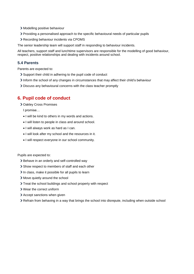- Modelling positive behaviour
- Providing a personalised approach to the specific behavioural needs of particular pupils
- Recording behaviour incidents via CPOMS
- The senior leadership team will support staff in responding to behaviour incidents.

All teachers, support staff and lunchtime supervisors are responsible for the modelling of good behaviour, respect, positive relationships and dealing with incidents around school.

#### **5.4 Parents**

Parents are expected to:

- Support their child in adhering to the pupil code of conduct
- Inform the school of any changes in circumstances that may affect their child's behaviour
- Discuss any behavioural concerns with the class teacher promptly

# **6. Pupil code of conduct**

Oakley Cross Promises

I promise…

- I will be kind to others in my words and actions.
- I will listen to people in class and around school.
- I will always work as hard as I can.
- I will look after my school and the resources in it.
- I will respect everyone in our school community.

Pupils are expected to:

- > Behave in an orderly and self-controlled way
- Show respect to members of staff and each other
- In class, make it possible for all pupils to learn
- Move quietly around the school
- Treat the school buildings and school property with respect
- Wear the correct uniform
- > Accept sanctions when given
- Refrain from behaving in a way that brings the school into disrepute, including when outside school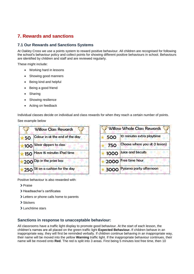# **7. Rewards and sanctions**

#### **7.1 Our Rewards and Sanctions Systems**

At Oakley Cross we use a points system to reward positive behaviour. All children are recognised for following the school's behaviour policy and collect points for showing different positive behaviours in school. Behaviours are identified by children and staff and are reviewed regularly.

These might include:

- Working hard in lessons
- Showing good manners
- Being kind and helpful
- Being a good friend
- Sharing
- Showing resilience
- Acting on feedback

Individual classes decide on individual and class rewards for when they reach a certain number of points. See example below



|     | <b>Willow Whole Class Rewards</b> |
|-----|-----------------------------------|
| 500 | 10 minutes extra playtime         |
| 750 | Choose where you sit (1 lesson)   |
|     | 1000 Juice and biscuits           |
|     | 2000 Free time hour               |
|     | 3000 Pyjama party afternoon       |

Positive behaviour is also rewarded with:

- > Praise
- Headteacher's certificates
- Letters or phone calls home to parents
- > Stickers
- Lunchtime stars

#### **Sanctions in response to unacceptable behaviour:**

All classrooms have a traffic light display to promote good behaviour. At the start of each lesson, the children's names are all placed on the green traffic light **Expected Behaviour.** If children behave in an inappropriate way, they will first be reminded verbally. If children continue behaving in an inappropriate way, their name will be moved into the yellow **Warning** traffic light. If the inappropriate behaviour continues, their name will be moved onto **Red**. The red is split into 3 areas. First being 5 minutes lost free time, then 10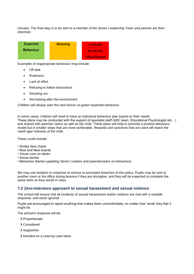minutes. The final step is to be sent to a member of the Senior Leadership Team and parents are then informed.



Examples of inappropriate behaviour may include:

- **Off task**
- Rudeness
- Lack of effort
- Refusing to follow instructions
- Shouting out
- Not looking after the environment.

Children will always start the next lesson on green expected behaviour.

In some cases, children will need to have an individual behaviour plan based on their needs. These plans may be conducted with the support of specialist staff (ASC team, Educational Psychologist etc…) and shared with parents/ carers as well as the child. These plans will help to promote a positive behaviour model but in smaller steps that are more achievable. Rewards and sanctions that are used will match the need/ age/ interests of the child.

These could include:

- Smiley face charts
- Now and Next boards
- Visual cues on desks
- Social stories
- Behaviour diaries (updating Senior Leaders and parents/carers on behaviour)

We may use isolation in response to serious or persistent breaches of this policy. Pupils may be sent to another room or the office during lessons if they are disruptive, and they will be expected to complete the same work as they would in class.

#### **7.2 Zero-tolerance approach to sexual harassment and sexual violence**

The school will ensure that all incidents of sexual harassment and/or violence are met with a suitable response, and never ignored.

Pupils are encouraged to report anything that makes them uncomfortable, no matter how 'small' they feel it might be.

The school's response will be:

- > Proportionate
- Considered
- > Supportive
- > Decided on a case-by-case basis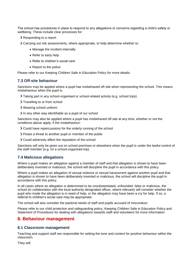The school has procedures in place to respond to any allegations or concerns regarding a child's safety or wellbeing. These include clear processes for:

- Responding to a report
- Carrying out risk assessments, where appropriate, to help determine whether to:
	- Manage the incident internally
	- Refer to early help
	- Refer to children's social care
	- Report to the police

Please refer to our Keeping Children Safe in Education Policy for more details.

#### **7.3 Off-site behaviour**

Sanctions may be applied where a pupil has misbehaved off-site when representing the school. This means misbehaviour when the pupil is:

- Taking part in any school-organised or school-related activity (e.g. school trips)
- > Travelling to or from school
- Wearing school uniform
- In any other way identifiable as a pupil of our school

Sanctions may also be applied where a pupil has misbehaved off-site at any time, whether or not the conditions above apply, if the misbehaviour:

- Could have repercussions for the orderly running of the school
- Poses a threat to another pupil or member of the public
- Could adversely affect the reputation of the school

Sanctions will only be given out on school premises or elsewhere when the pupil is under the lawful control of the staff member (e.g. on a school-organised trip).

#### **7.4 Malicious allegations**

Where a pupil makes an allegation against a member of staff and that allegation is shown to have been deliberately invented or malicious, the school will discipline the pupil in accordance with this policy.

Where a pupil makes an allegation of sexual violence or sexual harassment against another pupil and that allegation is shown to have been deliberately invented or malicious, the school will discipline the pupil in accordance with this policy.

In all cases where an allegation is determined to be unsubstantiated, unfounded, false or malicious, the school (in collaboration with the local authority designated officer, where relevant) will consider whether the pupil who made the allegation is in need of help, or the allegation may have been a cry for help. If so, a referral to children's social care may be appropriate.

The school will also consider the pastoral needs of staff and pupils accused of misconduct.

Please refer to our child protection and safeguarding policy, Keeping Children Safe in Education Policy and Statement of Procedures for dealing with allegations towards staff and volunteers for more information

#### **8. Behaviour management**

#### **8.1 Classroom management**

Teaching and support staff are responsible for setting the tone and context for positive behaviour within the classroom.

They will: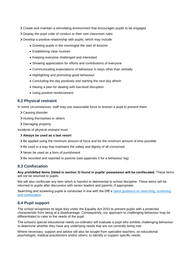- Create and maintain a stimulating environment that encourages pupils to be engaged
- Display the pupil code of conduct or their own classroom rules
- Develop a positive relationship with pupils, which may include:
	- Greeting pupils in the morning/at the start of lessons
	- Establishing clear routines
	- Keeping everyone challenged and interested
	- Showing appreciation for efforts and contributions of everyone
	- Communicating expectations of behaviour in ways other than verbally
	- Highlighting and promoting good behaviour
	- Concluding the day positively and starting the next day afresh
	- Having a plan for dealing with low-level disruption
	- Using positive reinforcement

#### **8.2 Physical restraint**

In some circumstances, staff may use reasonable force to restrain a pupil to prevent them:

- Causing disorder
- > Hurting themselves or others
- > Damaging property

Incidents of physical restraint must:

#### **Always be used as a last resort**

- $\geq$  Be applied using the minimum amount of force and for the minimum amount of time possible
- Be used in a way that maintains the safety and dignity of all concerned
- Never be used as a form of punishment
- Be recorded and reported to parents (see appendix 3 for a behaviour log)

#### **8.3 Confiscation**

#### **Any prohibited items (listed in section 3) found in pupils' possession will be confiscated.** These items will not be returned to pupils.

We will also confiscate any item which is harmful or detrimental to school discipline. These items will be returned to pupils after discussion with senior leaders and parents, if appropriate.

Searching and screening pupils is conducted in line with the DfE's latest guidance on searching, screening [and confiscation.](https://www.gov.uk/government/publications/searching-screening-and-confiscation)

#### **8.4 Pupil support**

The school recognises its legal duty under the Equality Act 2010 to prevent pupils with a protected characteristic from being at a disadvantage. Consequently, our approach to challenging behaviour may be differentiated to cater to the needs of the pupil.

The school's special educational needs co-ordinator will evaluate a pupil who exhibits challenging behaviour to determine whether they have any underlying needs that are not currently being met.

Where necessary, support and advice will also be sought from specialist teachers, an educational psychologist, medical practitioners and/or others, to identify or support specific needs.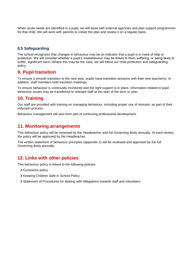When acute needs are identified in a pupil, we will liaise with external agencies and plan support programmes for that child. We will work with parents to create the plan and review it on a regular basis.

#### **8.5 Safeguarding**

The school recognises that changes in behaviour may be an indicator that a pupil is in need of help or protection. We will consider whether a pupil's misbehaviour may be linked to them suffering, or being likely to suffer, significant harm. Where this may be the case, we will follow our child protection and safeguarding policy.

# **9. Pupil transition**

To ensure a smooth transition to the next year, pupils have transition sessions with their new teacher(s). In addition, staff members hold transition meetings.

To ensure behaviour is continually monitored and the right support is in place, information related to pupil behaviour issues may be transferred to relevant staff at the start of the term or year.

# **10. Training**

Our staff are provided with training on managing behaviour, including proper use of restraint, as part of their induction process.

Behaviour management will also form part of continuing professional development.

## **11. Monitoring arrangements**

This behaviour policy will be reviewed by the Headteacher and full Governing Body annually. At each review, the policy will be approved by the Headteacher.

The written statement of behaviour principles (appendix 1) will be reviewed and approved by the full Governing Body annually.

# **12. Links with other policies**

This behaviour policy is linked to the following policies:

- > Exclusions policy
- > Keeping Children Safe in School Policy
- Statement of Procedures for dealing with Allegations towards staff and volunteers